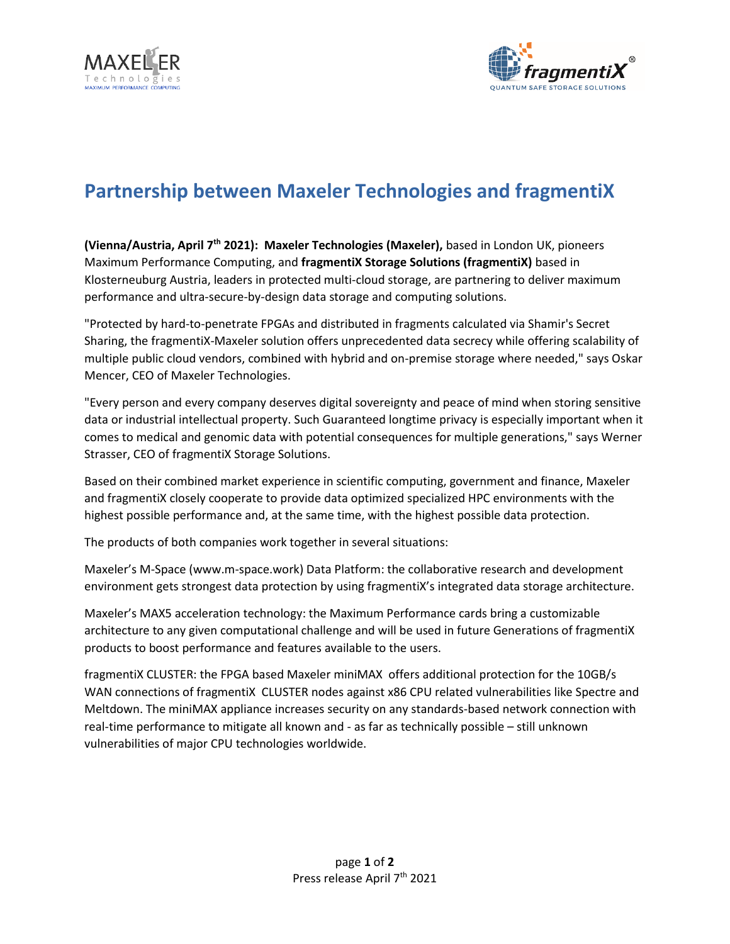



# **Partnership between Maxeler Technologies and fragmentiX**

**(Vienna/Austria, April 7th 2021): Maxeler Technologies (Maxeler),** based in London UK, pioneers Maximum Performance Computing, and **fragmentiX Storage Solutions (fragmentiX)** based in Klosterneuburg Austria, leaders in protected multi-cloud storage, are partnering to deliver maximum performance and ultra-secure-by-design data storage and computing solutions.

"Protected by hard-to-penetrate FPGAs and distributed in fragments calculated via Shamir's Secret Sharing, the fragmentiX-Maxeler solution offers unprecedented data secrecy while offering scalability of multiple public cloud vendors, combined with hybrid and on-premise storage where needed," says Oskar Mencer, CEO of Maxeler Technologies.

"Every person and every company deserves digital sovereignty and peace of mind when storing sensitive data or industrial intellectual property. Such Guaranteed longtime privacy is especially important when it comes to medical and genomic data with potential consequences for multiple generations," says Werner Strasser, CEO of fragmentiX Storage Solutions.

Based on their combined market experience in scientific computing, government and finance, Maxeler and fragmentiX closely cooperate to provide data optimized specialized HPC environments with the highest possible performance and, at the same time, with the highest possible data protection.

The products of both companies work together in several situations:

Maxeler's M-Space [\(www.m-space.work\)](http://www.m-space.work/) Data Platform: the collaborative research and development environment gets strongest data protection by using fragmentiX's integrated data storage architecture.

Maxeler's MAX5 acceleration technology: the Maximum Performance cards bring a customizable architecture to any given computational challenge and will be used in future Generations of fragmentiX products to boost performance and features available to the users.

fragmentiX CLUSTER: the FPGA based Maxeler miniMAX offers additional protection for the 10GB/s WAN connections of fragmentiX CLUSTER nodes against x86 CPU related vulnerabilities like Spectre and Meltdown. The miniMAX appliance increases security on any standards-based network connection with real-time performance to mitigate all known and - as far as technically possible – still unknown vulnerabilities of major CPU technologies worldwide.